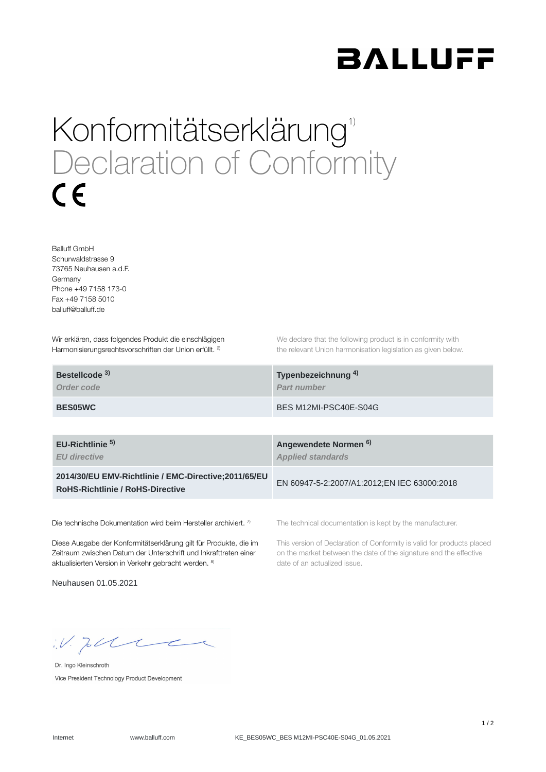

## Konformitätserklärung<sup>1)</sup> Declaration of Conformity  $\epsilon$

Balluff GmbH Schurwaldstrasse 9 73765 Neuhausen a.d.F. Germany Phone +49 7158 173-0 Fax +49 7158 5010 balluff@balluff.de

Wir erklären, dass folgendes Produkt die einschlägigen Harmonisierungsrechtsvorschriften der Union erfüllt. <sup>2)</sup>

We declare that the following product is in conformity with the relevant Union harmonisation legislation as given below.

| Bestellcode <sup>3)</sup> | Typenbezeichnung <sup>4)</sup> |
|---------------------------|--------------------------------|
| Order code                | <b>Part number</b>             |
| <b>BES05WC</b>            | BES M12MI-PSC40E-S04G          |

**EU-Richtlinie** 

*EU directive*

**2014/30/EU EMV-Richtlinie / EMC-Directive;2011/65/EU RoHS-Richtlinie / RoHS-Directive**

Die technische Dokumentation wird beim Hersteller archiviert. 7)

Diese Ausgabe der Konformitätserklärung gilt für Produkte, die im Zeitraum zwischen Datum der Unterschrift und Inkrafttreten einer aktualisierten Version in Verkehr gebracht werden. 8)

Neuhausen 01.05.2021

**Angewendete Normen 5) 6)***Applied standards*

EN 60947-5-2:2007/A1:2012;EN IEC 63000:2018

The technical documentation is kept by the manufacturer.

This version of Declaration of Conformity is valid for products placed on the market between the date of the signature and the effective date of an actualized issue.

 $W.$  Jobble

Dr. Ingo Kleinschroth Vice President Technology Product Development